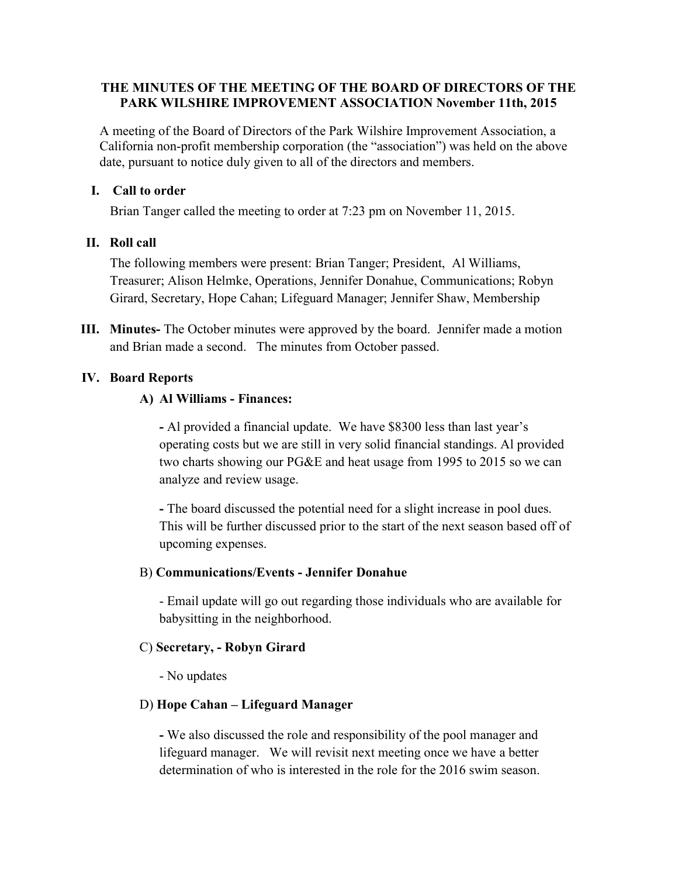#### THE MINUTES OF THE MEETING OF THE BOARD OF DIRECTORS OF THE PARK WILSHIRE IMPROVEMENT ASSOCIATION November 11th, 2015

A meeting of the Board of Directors of the Park Wilshire Improvement Association, a California non-profit membership corporation (the "association") was held on the above date, pursuant to notice duly given to all of the directors and members.

#### I. Call to order

Brian Tanger called the meeting to order at 7:23 pm on November 11, 2015.

#### II. Roll call

The following members were present: Brian Tanger; President, Al Williams, Treasurer; Alison Helmke, Operations, Jennifer Donahue, Communications; Robyn Girard, Secretary, Hope Cahan; Lifeguard Manager; Jennifer Shaw, Membership

III. Minutes- The October minutes were approved by the board. Jennifer made a motion and Brian made a second. The minutes from October passed.

#### IV. Board Reports

#### A) Al Williams - Finances:

- Al provided a financial update. We have \$8300 less than last year's operating costs but we are still in very solid financial standings. Al provided two charts showing our PG&E and heat usage from 1995 to 2015 so we can analyze and review usage.

- The board discussed the potential need for a slight increase in pool dues. This will be further discussed prior to the start of the next season based off of upcoming expenses.

#### B) Communications/Events - Jennifer Donahue

 - Email update will go out regarding those individuals who are available for babysitting in the neighborhood.

#### C) Secretary, - Robyn Girard

- No updates

#### D) Hope Cahan – Lifeguard Manager

- We also discussed the role and responsibility of the pool manager and lifeguard manager. We will revisit next meeting once we have a better determination of who is interested in the role for the 2016 swim season.